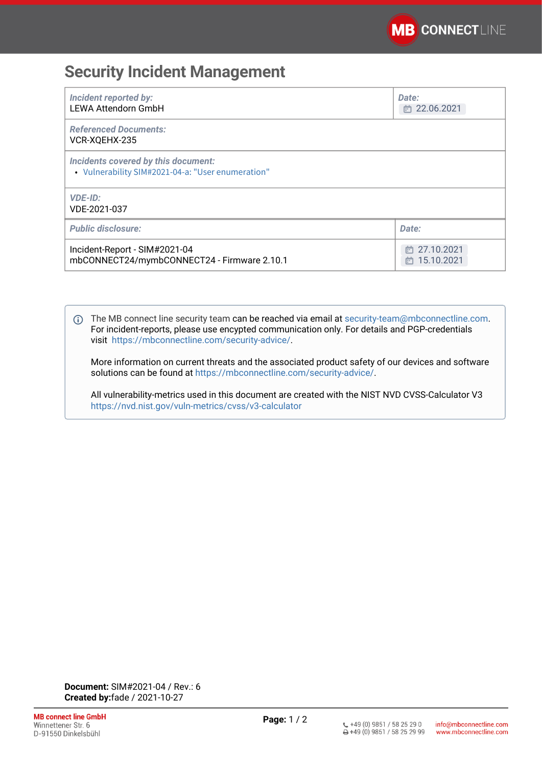## **Security Incident Management**

| <b>Incident reported by:</b><br><b>LEWA Attendorn GmbH</b>                               | Date:<br>□ 22.06.2021        |
|------------------------------------------------------------------------------------------|------------------------------|
| <b>Referenced Documents:</b><br>VCR-XQEHX-235                                            |                              |
| Incidents covered by this document:<br>• Vulnerability SIM#2021-04-a: "User enumeration" |                              |
| <b>VDE-ID:</b><br>VDE-2021-037                                                           |                              |
| <b>Public disclosure:</b>                                                                | Date:                        |
| Incident-Report - SIM#2021-04<br>mbCONNECT24/mymbCONNECT24 - Firmware 2.10.1             | □ 27.10.2021<br>卣 15.10.2021 |

The MB connect line security team can be reached via email at [security-team@mbconnectline.com](mailto:security-team@mbconnectline.com). For incident-reports, please use encypted communication only. For details and PGP-credentials visit <https://mbconnectline.com/security-advice/>.

More information on current threats and the associated product safety of our devices and software solutions can be found at [https://mbconnectline.com/security-advice/.](https://mbconnectline.com/security-advice/)

All vulnerability-metrics used in this document are created with the NIST NVD CVSS-Calculator V3 <https://nvd.nist.gov/vuln-metrics/cvss/v3-calculator>

**Document:** SIM#2021-04 / Rev.: 6 **Created by:**fade / 2021-10-27